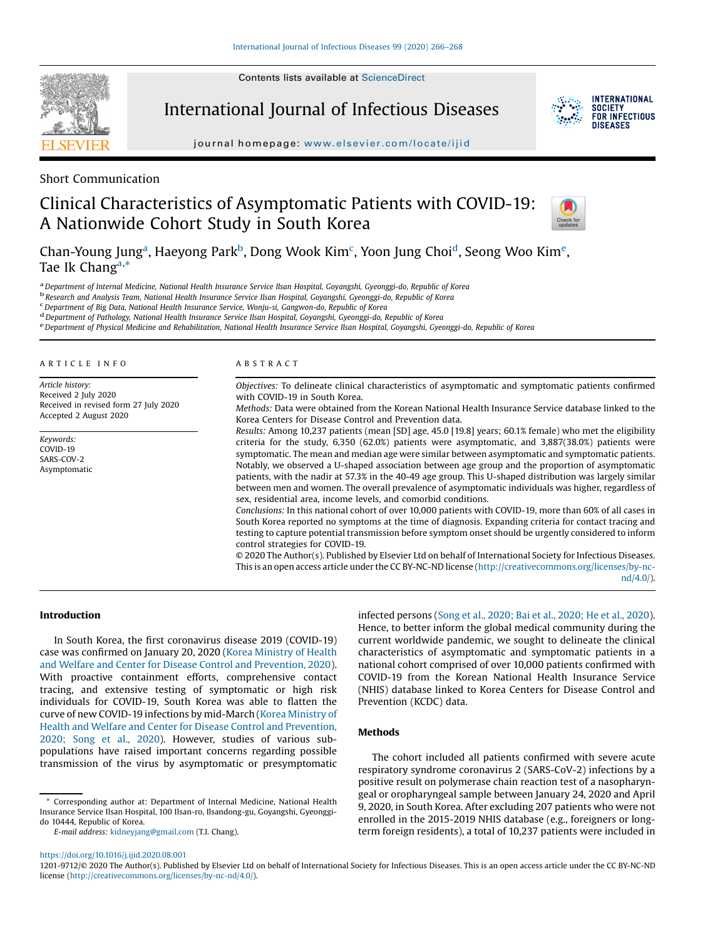Contents lists available at ScienceDirect



International Journal of Infectious Diseases



journal homepage: www.elsevier.com/locate/ijid

Short Communication

# Clinical Characteristics of Asymptomatic Patients with COVID-19: A Nationwide Cohort Study in South Korea



Chan-Young Jung<sup>a</sup>, Haeyong Park<sup>b</sup>, Dong Wook Kim<sup>c</sup>, Yoon Jung Choi<sup>d</sup>, Seong Woo Kim<sup>e</sup>, Tae Ik Chang<sup>a,\*</sup>

<sup>a</sup> Department of Internal Medicine, National Health Insurance Service Ilsan Hospital, Goyangshi, Gyeonggi-do, Republic of Korea<br><sup>b</sup> Research and Analysis Team, National Health Insurance Service Ilsan Hospital, Goyangshi,

<sup>d</sup> Department of Pathology, National Health Insurance Service Ilsan Hospital, Goyangshi, Gyeonggi-do, Republic of Korea<br><sup>e</sup> Department of Physical Medicine and Rehabilitation, National Health Insurance Service Ilsan Hospi

#### A R T I C L E I N F O

Article history: Received 2 July 2020 Received in revised form 27 July 2020 Accepted 2 August 2020

Keywords: COVID-19 SARS-COV-2 Asymptomatic

## A B S T R A C T

Objectives: To delineate clinical characteristics of asymptomatic and symptomatic patients confirmed with COVID-19 in South Korea.

Methods: Data were obtained from the Korean National Health Insurance Service database linked to the Korea Centers for Disease Control and Prevention data.

Results: Among 10,237 patients (mean [SD] age, 45.0 [19.8] years; 60.1% female) who met the eligibility criteria for the study, 6,350 (62.0%) patients were asymptomatic, and 3,887(38.0%) patients were symptomatic. The mean and median age were similar between asymptomatic and symptomatic patients. Notably, we observed a U-shaped association between age group and the proportion of asymptomatic patients, with the nadir at 57.3% in the 40-49 age group. This U-shaped distribution was largely similar between men and women. The overall prevalence of asymptomatic individuals was higher, regardless of sex, residential area, income levels, and comorbid conditions.

Conclusions: In this national cohort of over 10,000 patients with COVID-19, more than 60% of all cases in South Korea reported no symptoms at the time of diagnosis. Expanding criteria for contact tracing and testing to capture potential transmission before symptom onset should be urgently considered to inform control strategies for COVID-19.

© 2020 The Author(s). Published by Elsevier Ltd on behalf of International Society for Infectious Diseases. This is an open access article under the CC BY-NC-ND license (http://creativecommons.org/licenses/by-ncnd/4.0/).

## Introduction

In South Korea, the first coronavirus disease 2019 (COVID-19) case was confirmed on January 20, 2020 (Korea Ministry of Health and Welfare and Center for Disease Control and Prevention, 2020). With proactive containment efforts, comprehensive contact tracing, and extensive testing of symptomatic or high risk individuals for COVID-19, South Korea was able to flatten the curve of new COVID-19 infections by mid-March (Korea Ministry of Health and Welfare and Center for Disease Control and Prevention, 2020; Song et al., 2020). However, studies of various subpopulations have raised important concerns regarding possible transmission of the virus by asymptomatic or presymptomatic

\* Corresponding author at: Department of Internal Medicine, National Health Insurance Service Ilsan Hospital, 100 Ilsan-ro, Ilsandong-gu, Goyangshi, Gyeonggido 10444, Republic of Korea.

E-mail address: kidneyjang@gmail.com (T.I. Chang).

infected persons (Song et al., 2020; Bai et al., 2020; He et al., 2020). Hence, to better inform the global medical community during the current worldwide pandemic, we sought to delineate the clinical characteristics of asymptomatic and symptomatic patients in a national cohort comprised of over 10,000 patients confirmed with COVID-19 from the Korean National Health Insurance Service (NHIS) database linked to Korea Centers for Disease Control and Prevention (KCDC) data.

# Methods

The cohort included all patients confirmed with severe acute respiratory syndrome coronavirus 2 (SARS-CoV-2) infections by a positive result on polymerase chain reaction test of a nasopharyngeal or oropharyngeal sample between January 24, 2020 and April 9, 2020, in South Korea. After excluding 207 patients who were not enrolled in the 2015-2019 NHIS database (e.g., foreigners or longterm foreign residents), a total of 10,237 patients were included in

https://doi.org/10.1016/j.ijid.2020.08.001

<sup>1201-9712/©</sup> 2020 The Author(s). Published by Elsevier Ltd on behalf of International Society for Infectious Diseases. This is an open access article under the CC BY-NC-ND license (http://creativecommons.org/licenses/by-nc-nd/4.0/).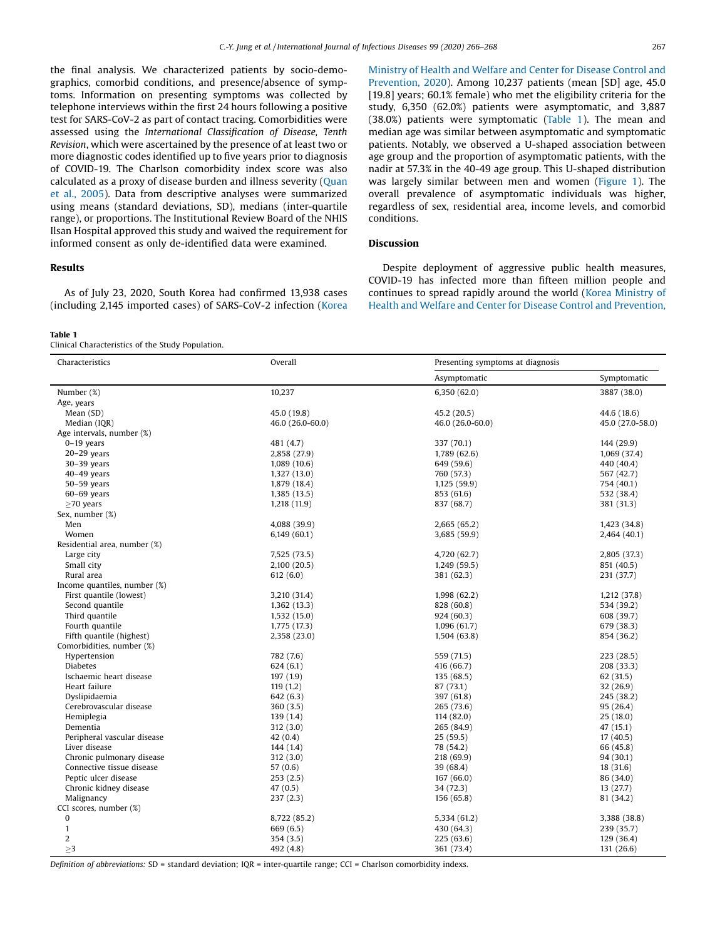the final analysis. We characterized patients by socio-demographics, comorbid conditions, and presence/absence of symptoms. Information on presenting symptoms was collected by telephone interviews within the first 24 hours following a positive test for SARS-CoV-2 as part of contact tracing. Comorbidities were assessed using the International Classification of Disease, Tenth Revision, which were ascertained by the presence of at least two or more diagnostic codes identified up to five years prior to diagnosis of COVID-19. The Charlson comorbidity index score was also calculated as a proxy of disease burden and illness severity (Quan et al., 2005). Data from descriptive analyses were summarized using means (standard deviations, SD), medians (inter-quartile range), or proportions. The Institutional Review Board of the NHIS Ilsan Hospital approved this study and waived the requirement for informed consent as only de-identified data were examined.

## Results

As of July 23, 2020, South Korea had confirmed 13,938 cases (including 2,145 imported cases) of SARS-CoV-2 infection (Korea

## Table 1

Clinical Characteristics of the Study Population.

Ministry of Health and Welfare and Center for Disease Control and Prevention, 2020). Among 10,237 patients (mean [SD] age, 45.0 [19.8] years; 60.1% female) who met the eligibility criteria for the study, 6,350 (62.0%) patients were asymptomatic, and 3,887 (38.0%) patients were symptomatic (Table 1). The mean and median age was similar between asymptomatic and symptomatic patients. Notably, we observed a U-shaped association between age group and the proportion of asymptomatic patients, with the nadir at 57.3% in the 40-49 age group. This U-shaped distribution was largely similar between men and women (Figure 1). The overall prevalence of asymptomatic individuals was higher, regardless of sex, residential area, income levels, and comorbid conditions.

# **Discussion**

Despite deployment of aggressive public health measures, COVID-19 has infected more than fifteen million people and continues to spread rapidly around the world (Korea Ministry of Health and Welfare and Center for Disease Control and Prevention,

| Symptomatic<br>Asymptomatic<br>Number (%)<br>10,237<br>6,350(62.0)<br>3887 (38.0)<br>Age, years<br>Mean (SD)<br>45.0 (19.8)<br>45.2 (20.5)<br>44.6 (18.6)<br>Median (IQR)<br>46.0 (26.0-60.0)<br>46.0 (26.0-60.0)<br>45.0 (27.0-58.0)<br>Age intervals, number (%)<br>$0-19$ years<br>481 (4.7)<br>337 (70.1)<br>144 (29.9)<br>$20-29$ years<br>1,789 (62.6)<br>2,858 (27.9)<br>1,069 (37.4)<br>$30-39$ years<br>1,089(10.6)<br>649 (59.6)<br>440 (40.4)<br>$40-49$ years<br>1,327(13.0)<br>760 (57.3)<br>567 (42.7)<br>$50-59$ years<br>1,879 (18.4)<br>1,125(59.9)<br>754 (40.1)<br>$60-69$ years<br>1,385(13.5)<br>853 (61.6)<br>532 (38.4)<br>$\geq$ 70 years<br>837 (68.7)<br>1,218(11.9)<br>381 (31.3)<br>Sex, number (%)<br>Men<br>4,088 (39.9)<br>2,665 (65.2)<br>1,423 (34.8)<br>Women<br>3,685 (59.9)<br>6,149(60.1)<br>2,464 (40.1)<br>Residential area, number (%)<br>Large city<br>7,525 (73.5)<br>4,720 (62.7)<br>2,805 (37.3)<br>Small city<br>2,100 (20.5)<br>1,249(59.5)<br>851 (40.5)<br>Rural area<br>612(6.0)<br>381 (62.3)<br>231 (37.7)<br>Income quantiles, number (%)<br>First quantile (lowest)<br>3,210 (31.4)<br>1,998(62.2)<br>1,212 (37.8)<br>Second quantile<br>828 (60.8)<br>1,362(13.3)<br>534 (39.2)<br>Third quantile<br>1,532 (15.0)<br>924 (60.3)<br>608 (39.7)<br>Fourth quantile<br>1,775 (17.3)<br>1,096 (61.7)<br>679 (38.3)<br>Fifth quantile (highest)<br>2,358 (23.0)<br>1,504(63.8)<br>854 (36.2)<br>Comorbidities, number (%)<br>Hypertension<br>782 (7.6)<br>559 (71.5)<br>223 (28.5)<br><b>Diabetes</b><br>624(6.1)<br>416 (66.7)<br>208 (33.3)<br>Ischaemic heart disease<br>197(1.9)<br>135 (68.5)<br>62(31.5)<br>Heart failure<br>119(1.2)<br>87 (73.1)<br>32 (26.9)<br>Dyslipidaemia<br>642 (6.3)<br>397 (61.8)<br>245 (38.2)<br>Cerebrovascular disease<br>360(3.5)<br>265 (73.6)<br>95 (26.4)<br>Hemiplegia<br>114 (82.0)<br>139(1.4)<br>25(18.0)<br>Dementia<br>312(3.0)<br>265 (84.9)<br>47 (15.1)<br>Peripheral vascular disease<br>25(59.5)<br>42(0.4)<br>17(40.5)<br>Liver disease<br>144(1.4)<br>78 (54.2)<br>66 (45.8)<br>Chronic pulmonary disease<br>312(3.0)<br>218 (69.9)<br>94 (30.1)<br>Connective tissue disease<br>57 (0.6)<br>39 (68.4)<br>18 (31.6)<br>Peptic ulcer disease<br>253(2.5)<br>167 (66.0)<br>86 (34.0)<br>Chronic kidney disease<br>47(0.5)<br>34 (72.3)<br>13 (27.7)<br>Malignancy<br>237(2.3)<br>156 (65.8)<br>81 (34.2)<br>CCI scores, number (%)<br>$\bf{0}$<br>8,722 (85.2)<br>5,334 (61.2)<br>3,388 (38.8)<br>$\mathbf{1}$<br>669 (6.5)<br>430 (64.3)<br>239 (35.7)<br>2<br>354(3.5)<br>225 (63.6)<br>129 (36.4)<br>>3<br>131 (26.6)<br>492 (4.8)<br>361 (73.4) | Characteristics | Overall | Presenting symptoms at diagnosis |  |
|---------------------------------------------------------------------------------------------------------------------------------------------------------------------------------------------------------------------------------------------------------------------------------------------------------------------------------------------------------------------------------------------------------------------------------------------------------------------------------------------------------------------------------------------------------------------------------------------------------------------------------------------------------------------------------------------------------------------------------------------------------------------------------------------------------------------------------------------------------------------------------------------------------------------------------------------------------------------------------------------------------------------------------------------------------------------------------------------------------------------------------------------------------------------------------------------------------------------------------------------------------------------------------------------------------------------------------------------------------------------------------------------------------------------------------------------------------------------------------------------------------------------------------------------------------------------------------------------------------------------------------------------------------------------------------------------------------------------------------------------------------------------------------------------------------------------------------------------------------------------------------------------------------------------------------------------------------------------------------------------------------------------------------------------------------------------------------------------------------------------------------------------------------------------------------------------------------------------------------------------------------------------------------------------------------------------------------------------------------------------------------------------------------------------------------------------------------------------------------------------------------------------------------------------------------------------------------------------------------------------------------------------------------|-----------------|---------|----------------------------------|--|
|                                                                                                                                                                                                                                                                                                                                                                                                                                                                                                                                                                                                                                                                                                                                                                                                                                                                                                                                                                                                                                                                                                                                                                                                                                                                                                                                                                                                                                                                                                                                                                                                                                                                                                                                                                                                                                                                                                                                                                                                                                                                                                                                                                                                                                                                                                                                                                                                                                                                                                                                                                                                                                                         |                 |         |                                  |  |
|                                                                                                                                                                                                                                                                                                                                                                                                                                                                                                                                                                                                                                                                                                                                                                                                                                                                                                                                                                                                                                                                                                                                                                                                                                                                                                                                                                                                                                                                                                                                                                                                                                                                                                                                                                                                                                                                                                                                                                                                                                                                                                                                                                                                                                                                                                                                                                                                                                                                                                                                                                                                                                                         |                 |         |                                  |  |
|                                                                                                                                                                                                                                                                                                                                                                                                                                                                                                                                                                                                                                                                                                                                                                                                                                                                                                                                                                                                                                                                                                                                                                                                                                                                                                                                                                                                                                                                                                                                                                                                                                                                                                                                                                                                                                                                                                                                                                                                                                                                                                                                                                                                                                                                                                                                                                                                                                                                                                                                                                                                                                                         |                 |         |                                  |  |
|                                                                                                                                                                                                                                                                                                                                                                                                                                                                                                                                                                                                                                                                                                                                                                                                                                                                                                                                                                                                                                                                                                                                                                                                                                                                                                                                                                                                                                                                                                                                                                                                                                                                                                                                                                                                                                                                                                                                                                                                                                                                                                                                                                                                                                                                                                                                                                                                                                                                                                                                                                                                                                                         |                 |         |                                  |  |
|                                                                                                                                                                                                                                                                                                                                                                                                                                                                                                                                                                                                                                                                                                                                                                                                                                                                                                                                                                                                                                                                                                                                                                                                                                                                                                                                                                                                                                                                                                                                                                                                                                                                                                                                                                                                                                                                                                                                                                                                                                                                                                                                                                                                                                                                                                                                                                                                                                                                                                                                                                                                                                                         |                 |         |                                  |  |
|                                                                                                                                                                                                                                                                                                                                                                                                                                                                                                                                                                                                                                                                                                                                                                                                                                                                                                                                                                                                                                                                                                                                                                                                                                                                                                                                                                                                                                                                                                                                                                                                                                                                                                                                                                                                                                                                                                                                                                                                                                                                                                                                                                                                                                                                                                                                                                                                                                                                                                                                                                                                                                                         |                 |         |                                  |  |
|                                                                                                                                                                                                                                                                                                                                                                                                                                                                                                                                                                                                                                                                                                                                                                                                                                                                                                                                                                                                                                                                                                                                                                                                                                                                                                                                                                                                                                                                                                                                                                                                                                                                                                                                                                                                                                                                                                                                                                                                                                                                                                                                                                                                                                                                                                                                                                                                                                                                                                                                                                                                                                                         |                 |         |                                  |  |
|                                                                                                                                                                                                                                                                                                                                                                                                                                                                                                                                                                                                                                                                                                                                                                                                                                                                                                                                                                                                                                                                                                                                                                                                                                                                                                                                                                                                                                                                                                                                                                                                                                                                                                                                                                                                                                                                                                                                                                                                                                                                                                                                                                                                                                                                                                                                                                                                                                                                                                                                                                                                                                                         |                 |         |                                  |  |
|                                                                                                                                                                                                                                                                                                                                                                                                                                                                                                                                                                                                                                                                                                                                                                                                                                                                                                                                                                                                                                                                                                                                                                                                                                                                                                                                                                                                                                                                                                                                                                                                                                                                                                                                                                                                                                                                                                                                                                                                                                                                                                                                                                                                                                                                                                                                                                                                                                                                                                                                                                                                                                                         |                 |         |                                  |  |
|                                                                                                                                                                                                                                                                                                                                                                                                                                                                                                                                                                                                                                                                                                                                                                                                                                                                                                                                                                                                                                                                                                                                                                                                                                                                                                                                                                                                                                                                                                                                                                                                                                                                                                                                                                                                                                                                                                                                                                                                                                                                                                                                                                                                                                                                                                                                                                                                                                                                                                                                                                                                                                                         |                 |         |                                  |  |
|                                                                                                                                                                                                                                                                                                                                                                                                                                                                                                                                                                                                                                                                                                                                                                                                                                                                                                                                                                                                                                                                                                                                                                                                                                                                                                                                                                                                                                                                                                                                                                                                                                                                                                                                                                                                                                                                                                                                                                                                                                                                                                                                                                                                                                                                                                                                                                                                                                                                                                                                                                                                                                                         |                 |         |                                  |  |
|                                                                                                                                                                                                                                                                                                                                                                                                                                                                                                                                                                                                                                                                                                                                                                                                                                                                                                                                                                                                                                                                                                                                                                                                                                                                                                                                                                                                                                                                                                                                                                                                                                                                                                                                                                                                                                                                                                                                                                                                                                                                                                                                                                                                                                                                                                                                                                                                                                                                                                                                                                                                                                                         |                 |         |                                  |  |
|                                                                                                                                                                                                                                                                                                                                                                                                                                                                                                                                                                                                                                                                                                                                                                                                                                                                                                                                                                                                                                                                                                                                                                                                                                                                                                                                                                                                                                                                                                                                                                                                                                                                                                                                                                                                                                                                                                                                                                                                                                                                                                                                                                                                                                                                                                                                                                                                                                                                                                                                                                                                                                                         |                 |         |                                  |  |
|                                                                                                                                                                                                                                                                                                                                                                                                                                                                                                                                                                                                                                                                                                                                                                                                                                                                                                                                                                                                                                                                                                                                                                                                                                                                                                                                                                                                                                                                                                                                                                                                                                                                                                                                                                                                                                                                                                                                                                                                                                                                                                                                                                                                                                                                                                                                                                                                                                                                                                                                                                                                                                                         |                 |         |                                  |  |
|                                                                                                                                                                                                                                                                                                                                                                                                                                                                                                                                                                                                                                                                                                                                                                                                                                                                                                                                                                                                                                                                                                                                                                                                                                                                                                                                                                                                                                                                                                                                                                                                                                                                                                                                                                                                                                                                                                                                                                                                                                                                                                                                                                                                                                                                                                                                                                                                                                                                                                                                                                                                                                                         |                 |         |                                  |  |
|                                                                                                                                                                                                                                                                                                                                                                                                                                                                                                                                                                                                                                                                                                                                                                                                                                                                                                                                                                                                                                                                                                                                                                                                                                                                                                                                                                                                                                                                                                                                                                                                                                                                                                                                                                                                                                                                                                                                                                                                                                                                                                                                                                                                                                                                                                                                                                                                                                                                                                                                                                                                                                                         |                 |         |                                  |  |
|                                                                                                                                                                                                                                                                                                                                                                                                                                                                                                                                                                                                                                                                                                                                                                                                                                                                                                                                                                                                                                                                                                                                                                                                                                                                                                                                                                                                                                                                                                                                                                                                                                                                                                                                                                                                                                                                                                                                                                                                                                                                                                                                                                                                                                                                                                                                                                                                                                                                                                                                                                                                                                                         |                 |         |                                  |  |
|                                                                                                                                                                                                                                                                                                                                                                                                                                                                                                                                                                                                                                                                                                                                                                                                                                                                                                                                                                                                                                                                                                                                                                                                                                                                                                                                                                                                                                                                                                                                                                                                                                                                                                                                                                                                                                                                                                                                                                                                                                                                                                                                                                                                                                                                                                                                                                                                                                                                                                                                                                                                                                                         |                 |         |                                  |  |
|                                                                                                                                                                                                                                                                                                                                                                                                                                                                                                                                                                                                                                                                                                                                                                                                                                                                                                                                                                                                                                                                                                                                                                                                                                                                                                                                                                                                                                                                                                                                                                                                                                                                                                                                                                                                                                                                                                                                                                                                                                                                                                                                                                                                                                                                                                                                                                                                                                                                                                                                                                                                                                                         |                 |         |                                  |  |
|                                                                                                                                                                                                                                                                                                                                                                                                                                                                                                                                                                                                                                                                                                                                                                                                                                                                                                                                                                                                                                                                                                                                                                                                                                                                                                                                                                                                                                                                                                                                                                                                                                                                                                                                                                                                                                                                                                                                                                                                                                                                                                                                                                                                                                                                                                                                                                                                                                                                                                                                                                                                                                                         |                 |         |                                  |  |
|                                                                                                                                                                                                                                                                                                                                                                                                                                                                                                                                                                                                                                                                                                                                                                                                                                                                                                                                                                                                                                                                                                                                                                                                                                                                                                                                                                                                                                                                                                                                                                                                                                                                                                                                                                                                                                                                                                                                                                                                                                                                                                                                                                                                                                                                                                                                                                                                                                                                                                                                                                                                                                                         |                 |         |                                  |  |
|                                                                                                                                                                                                                                                                                                                                                                                                                                                                                                                                                                                                                                                                                                                                                                                                                                                                                                                                                                                                                                                                                                                                                                                                                                                                                                                                                                                                                                                                                                                                                                                                                                                                                                                                                                                                                                                                                                                                                                                                                                                                                                                                                                                                                                                                                                                                                                                                                                                                                                                                                                                                                                                         |                 |         |                                  |  |
|                                                                                                                                                                                                                                                                                                                                                                                                                                                                                                                                                                                                                                                                                                                                                                                                                                                                                                                                                                                                                                                                                                                                                                                                                                                                                                                                                                                                                                                                                                                                                                                                                                                                                                                                                                                                                                                                                                                                                                                                                                                                                                                                                                                                                                                                                                                                                                                                                                                                                                                                                                                                                                                         |                 |         |                                  |  |
|                                                                                                                                                                                                                                                                                                                                                                                                                                                                                                                                                                                                                                                                                                                                                                                                                                                                                                                                                                                                                                                                                                                                                                                                                                                                                                                                                                                                                                                                                                                                                                                                                                                                                                                                                                                                                                                                                                                                                                                                                                                                                                                                                                                                                                                                                                                                                                                                                                                                                                                                                                                                                                                         |                 |         |                                  |  |
|                                                                                                                                                                                                                                                                                                                                                                                                                                                                                                                                                                                                                                                                                                                                                                                                                                                                                                                                                                                                                                                                                                                                                                                                                                                                                                                                                                                                                                                                                                                                                                                                                                                                                                                                                                                                                                                                                                                                                                                                                                                                                                                                                                                                                                                                                                                                                                                                                                                                                                                                                                                                                                                         |                 |         |                                  |  |
|                                                                                                                                                                                                                                                                                                                                                                                                                                                                                                                                                                                                                                                                                                                                                                                                                                                                                                                                                                                                                                                                                                                                                                                                                                                                                                                                                                                                                                                                                                                                                                                                                                                                                                                                                                                                                                                                                                                                                                                                                                                                                                                                                                                                                                                                                                                                                                                                                                                                                                                                                                                                                                                         |                 |         |                                  |  |
|                                                                                                                                                                                                                                                                                                                                                                                                                                                                                                                                                                                                                                                                                                                                                                                                                                                                                                                                                                                                                                                                                                                                                                                                                                                                                                                                                                                                                                                                                                                                                                                                                                                                                                                                                                                                                                                                                                                                                                                                                                                                                                                                                                                                                                                                                                                                                                                                                                                                                                                                                                                                                                                         |                 |         |                                  |  |
|                                                                                                                                                                                                                                                                                                                                                                                                                                                                                                                                                                                                                                                                                                                                                                                                                                                                                                                                                                                                                                                                                                                                                                                                                                                                                                                                                                                                                                                                                                                                                                                                                                                                                                                                                                                                                                                                                                                                                                                                                                                                                                                                                                                                                                                                                                                                                                                                                                                                                                                                                                                                                                                         |                 |         |                                  |  |
|                                                                                                                                                                                                                                                                                                                                                                                                                                                                                                                                                                                                                                                                                                                                                                                                                                                                                                                                                                                                                                                                                                                                                                                                                                                                                                                                                                                                                                                                                                                                                                                                                                                                                                                                                                                                                                                                                                                                                                                                                                                                                                                                                                                                                                                                                                                                                                                                                                                                                                                                                                                                                                                         |                 |         |                                  |  |
|                                                                                                                                                                                                                                                                                                                                                                                                                                                                                                                                                                                                                                                                                                                                                                                                                                                                                                                                                                                                                                                                                                                                                                                                                                                                                                                                                                                                                                                                                                                                                                                                                                                                                                                                                                                                                                                                                                                                                                                                                                                                                                                                                                                                                                                                                                                                                                                                                                                                                                                                                                                                                                                         |                 |         |                                  |  |
|                                                                                                                                                                                                                                                                                                                                                                                                                                                                                                                                                                                                                                                                                                                                                                                                                                                                                                                                                                                                                                                                                                                                                                                                                                                                                                                                                                                                                                                                                                                                                                                                                                                                                                                                                                                                                                                                                                                                                                                                                                                                                                                                                                                                                                                                                                                                                                                                                                                                                                                                                                                                                                                         |                 |         |                                  |  |
|                                                                                                                                                                                                                                                                                                                                                                                                                                                                                                                                                                                                                                                                                                                                                                                                                                                                                                                                                                                                                                                                                                                                                                                                                                                                                                                                                                                                                                                                                                                                                                                                                                                                                                                                                                                                                                                                                                                                                                                                                                                                                                                                                                                                                                                                                                                                                                                                                                                                                                                                                                                                                                                         |                 |         |                                  |  |
|                                                                                                                                                                                                                                                                                                                                                                                                                                                                                                                                                                                                                                                                                                                                                                                                                                                                                                                                                                                                                                                                                                                                                                                                                                                                                                                                                                                                                                                                                                                                                                                                                                                                                                                                                                                                                                                                                                                                                                                                                                                                                                                                                                                                                                                                                                                                                                                                                                                                                                                                                                                                                                                         |                 |         |                                  |  |
|                                                                                                                                                                                                                                                                                                                                                                                                                                                                                                                                                                                                                                                                                                                                                                                                                                                                                                                                                                                                                                                                                                                                                                                                                                                                                                                                                                                                                                                                                                                                                                                                                                                                                                                                                                                                                                                                                                                                                                                                                                                                                                                                                                                                                                                                                                                                                                                                                                                                                                                                                                                                                                                         |                 |         |                                  |  |
|                                                                                                                                                                                                                                                                                                                                                                                                                                                                                                                                                                                                                                                                                                                                                                                                                                                                                                                                                                                                                                                                                                                                                                                                                                                                                                                                                                                                                                                                                                                                                                                                                                                                                                                                                                                                                                                                                                                                                                                                                                                                                                                                                                                                                                                                                                                                                                                                                                                                                                                                                                                                                                                         |                 |         |                                  |  |
|                                                                                                                                                                                                                                                                                                                                                                                                                                                                                                                                                                                                                                                                                                                                                                                                                                                                                                                                                                                                                                                                                                                                                                                                                                                                                                                                                                                                                                                                                                                                                                                                                                                                                                                                                                                                                                                                                                                                                                                                                                                                                                                                                                                                                                                                                                                                                                                                                                                                                                                                                                                                                                                         |                 |         |                                  |  |
|                                                                                                                                                                                                                                                                                                                                                                                                                                                                                                                                                                                                                                                                                                                                                                                                                                                                                                                                                                                                                                                                                                                                                                                                                                                                                                                                                                                                                                                                                                                                                                                                                                                                                                                                                                                                                                                                                                                                                                                                                                                                                                                                                                                                                                                                                                                                                                                                                                                                                                                                                                                                                                                         |                 |         |                                  |  |
|                                                                                                                                                                                                                                                                                                                                                                                                                                                                                                                                                                                                                                                                                                                                                                                                                                                                                                                                                                                                                                                                                                                                                                                                                                                                                                                                                                                                                                                                                                                                                                                                                                                                                                                                                                                                                                                                                                                                                                                                                                                                                                                                                                                                                                                                                                                                                                                                                                                                                                                                                                                                                                                         |                 |         |                                  |  |
|                                                                                                                                                                                                                                                                                                                                                                                                                                                                                                                                                                                                                                                                                                                                                                                                                                                                                                                                                                                                                                                                                                                                                                                                                                                                                                                                                                                                                                                                                                                                                                                                                                                                                                                                                                                                                                                                                                                                                                                                                                                                                                                                                                                                                                                                                                                                                                                                                                                                                                                                                                                                                                                         |                 |         |                                  |  |
|                                                                                                                                                                                                                                                                                                                                                                                                                                                                                                                                                                                                                                                                                                                                                                                                                                                                                                                                                                                                                                                                                                                                                                                                                                                                                                                                                                                                                                                                                                                                                                                                                                                                                                                                                                                                                                                                                                                                                                                                                                                                                                                                                                                                                                                                                                                                                                                                                                                                                                                                                                                                                                                         |                 |         |                                  |  |
|                                                                                                                                                                                                                                                                                                                                                                                                                                                                                                                                                                                                                                                                                                                                                                                                                                                                                                                                                                                                                                                                                                                                                                                                                                                                                                                                                                                                                                                                                                                                                                                                                                                                                                                                                                                                                                                                                                                                                                                                                                                                                                                                                                                                                                                                                                                                                                                                                                                                                                                                                                                                                                                         |                 |         |                                  |  |
|                                                                                                                                                                                                                                                                                                                                                                                                                                                                                                                                                                                                                                                                                                                                                                                                                                                                                                                                                                                                                                                                                                                                                                                                                                                                                                                                                                                                                                                                                                                                                                                                                                                                                                                                                                                                                                                                                                                                                                                                                                                                                                                                                                                                                                                                                                                                                                                                                                                                                                                                                                                                                                                         |                 |         |                                  |  |
|                                                                                                                                                                                                                                                                                                                                                                                                                                                                                                                                                                                                                                                                                                                                                                                                                                                                                                                                                                                                                                                                                                                                                                                                                                                                                                                                                                                                                                                                                                                                                                                                                                                                                                                                                                                                                                                                                                                                                                                                                                                                                                                                                                                                                                                                                                                                                                                                                                                                                                                                                                                                                                                         |                 |         |                                  |  |
|                                                                                                                                                                                                                                                                                                                                                                                                                                                                                                                                                                                                                                                                                                                                                                                                                                                                                                                                                                                                                                                                                                                                                                                                                                                                                                                                                                                                                                                                                                                                                                                                                                                                                                                                                                                                                                                                                                                                                                                                                                                                                                                                                                                                                                                                                                                                                                                                                                                                                                                                                                                                                                                         |                 |         |                                  |  |
|                                                                                                                                                                                                                                                                                                                                                                                                                                                                                                                                                                                                                                                                                                                                                                                                                                                                                                                                                                                                                                                                                                                                                                                                                                                                                                                                                                                                                                                                                                                                                                                                                                                                                                                                                                                                                                                                                                                                                                                                                                                                                                                                                                                                                                                                                                                                                                                                                                                                                                                                                                                                                                                         |                 |         |                                  |  |
|                                                                                                                                                                                                                                                                                                                                                                                                                                                                                                                                                                                                                                                                                                                                                                                                                                                                                                                                                                                                                                                                                                                                                                                                                                                                                                                                                                                                                                                                                                                                                                                                                                                                                                                                                                                                                                                                                                                                                                                                                                                                                                                                                                                                                                                                                                                                                                                                                                                                                                                                                                                                                                                         |                 |         |                                  |  |
|                                                                                                                                                                                                                                                                                                                                                                                                                                                                                                                                                                                                                                                                                                                                                                                                                                                                                                                                                                                                                                                                                                                                                                                                                                                                                                                                                                                                                                                                                                                                                                                                                                                                                                                                                                                                                                                                                                                                                                                                                                                                                                                                                                                                                                                                                                                                                                                                                                                                                                                                                                                                                                                         |                 |         |                                  |  |

Definition of abbreviations: SD = standard deviation;  $IQR$  = inter-quartile range; CCI = Charlson comorbidity indexs.